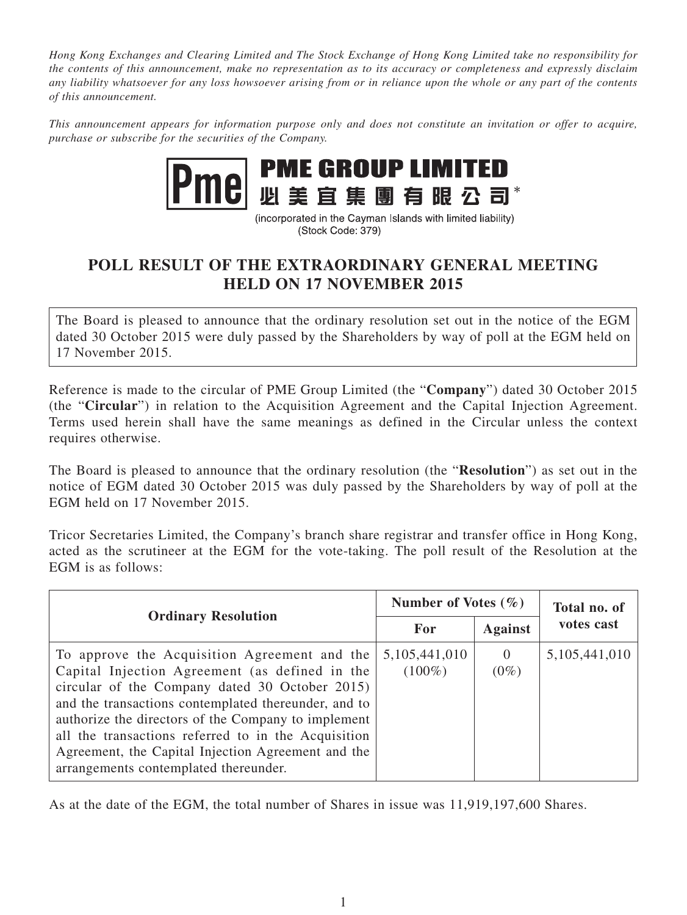*Hong Kong Exchanges and Clearing Limited and The Stock Exchange of Hong Kong Limited take no responsibility for the contents of this announcement, make no representation as to its accuracy or completeness and expressly disclaim any liability whatsoever for any loss howsoever arising from or in reliance upon the whole or any part of the contents of this announcement.*

*This announcement appears for information purpose only and does not constitute an invitation or offer to acquire, purchase or subscribe for the securities of the Company.*



(incorporated in the Cayman Islands with limited liability) (Stock Code: 379)

## **POLL RESULT OF THE EXTRAORDINARY GENERAL MEETING HELD ON 17 NOVEMBER 2015**

The Board is pleased to announce that the ordinary resolution set out in the notice of the EGM dated 30 October 2015 were duly passed by the Shareholders by way of poll at the EGM held on 17 November 2015.

Reference is made to the circular of PME Group Limited (the "**Company**") dated 30 October 2015 (the "**Circular**") in relation to the Acquisition Agreement and the Capital Injection Agreement. Terms used herein shall have the same meanings as defined in the Circular unless the context requires otherwise.

The Board is pleased to announce that the ordinary resolution (the "**Resolution**") as set out in the notice of EGM dated 30 October 2015 was duly passed by the Shareholders by way of poll at the EGM held on 17 November 2015.

Tricor Secretaries Limited, the Company's branch share registrar and transfer office in Hong Kong, acted as the scrutineer at the EGM for the vote-taking. The poll result of the Resolution at the EGM is as follows:

| <b>Ordinary Resolution</b>                                                                                                                                                                                                                                                                                                                                                                                            | Number of Votes $(\% )$       |                     | Total no. of     |
|-----------------------------------------------------------------------------------------------------------------------------------------------------------------------------------------------------------------------------------------------------------------------------------------------------------------------------------------------------------------------------------------------------------------------|-------------------------------|---------------------|------------------|
|                                                                                                                                                                                                                                                                                                                                                                                                                       | For                           | <b>Against</b>      | votes cast       |
| To approve the Acquisition Agreement and the<br>Capital Injection Agreement (as defined in the<br>circular of the Company dated 30 October 2015)<br>and the transactions contemplated thereunder, and to<br>authorize the directors of the Company to implement<br>all the transactions referred to in the Acquisition<br>Agreement, the Capital Injection Agreement and the<br>arrangements contemplated thereunder. | 5, 105, 441, 010<br>$(100\%)$ | $\theta$<br>$(0\%)$ | 5, 105, 441, 010 |

As at the date of the EGM, the total number of Shares in issue was 11,919,197,600 Shares.